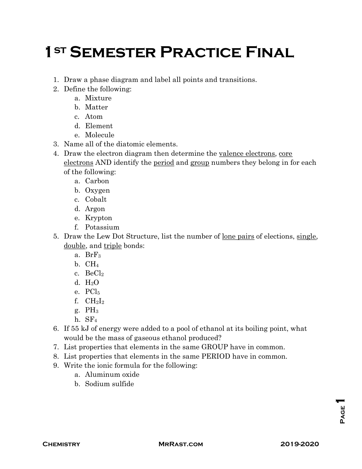## **1ST SEMESTER PRACTICE FINAL**

- 1. Draw a phase diagram and label all points and transitions.
- 2. Define the following:
	- a. Mixture
	- b. Matter
	- c. Atom
	- d. Element
	- e. Molecule
- 3. Name all of the diatomic elements.
- 4. Draw the electron diagram then determine the valence electrons, core electrons AND identify the period and group numbers they belong in for each of the following:
	- a. Carbon
	- b. Oxygen
	- c. Cobalt
	- d. Argon
	- e. Krypton
	- f. Potassium
- 5. Draw the Lew Dot Structure, list the number of lone pairs of elections, single, double, and triple bonds:
	- a. BrF<sup>3</sup>
	- b. CH<sup>4</sup>
	- c.  $BeCl<sub>2</sub>$
	- d. H2O
	- e. PCl<sub>5</sub>
	- f.  $CH<sub>2</sub>I<sub>2</sub>$
	- $g. PH<sub>3</sub>$
	- h. SF<sup>4</sup>
- 6. If 55 kJ of energy were added to a pool of ethanol at its boiling point, what would be the mass of gaseous ethanol produced?
- 7. List properties that elements in the same GROUP have in common.
- 8. List properties that elements in the same PERIOD have in common.
- 9. Write the ionic formula for the following:
	- a. Aluminum oxide
	- b. Sodium sulfide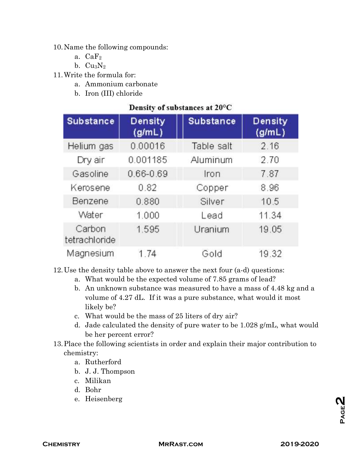## 10.Name the following compounds:

- a.  $CaF<sub>2</sub>$
- b.  $Cu_3N_2$
- 11.Write the formula for:
	- a. Ammonium carbonate
	- b. Iron (III) chloride

## Density of substances at 20°C

| <b>Substance</b>        | <b>Density</b><br>(g/mL) | <b>Substance</b> | <b>Density</b><br>(g/mL) |
|-------------------------|--------------------------|------------------|--------------------------|
| Helium gas              | 0.00016                  | Table salt       | 2.16                     |
| Dry air                 | 0.001185                 | Aluminum         | 2.70                     |
| Gasoline                | 0.66-0.69                | Iron             | 7.87                     |
| Kerosene                | 0.82                     | Copper           | 8.96                     |
| Benzene                 | 0.880                    | Silver           | 10.5                     |
| Water                   | 1.000                    | Lead             | 11.34                    |
| Carbon<br>tetrachloride | 1.595                    | Uranium          | 19.05                    |
| Magnesium               | 1.74                     | Gold             | 19.32                    |

12.Use the density table above to answer the next four (a-d) questions:

- a. What would be the expected volume of 7.85 grams of lead?
- b. An unknown substance was measured to have a mass of 4.48 kg and a volume of 4.27 dL. If it was a pure substance, what would it most likely be?
- c. What would be the mass of 25 liters of dry air?
- d. Jade calculated the density of pure water to be 1.028 g/mL, what would be her percent error?
- 13.Place the following scientists in order and explain their major contribution to chemistry:
	- a. Rutherford
	- b. J. J. Thompson
	- c. Milikan
	- d. Bohr
	- e. Heisenberg